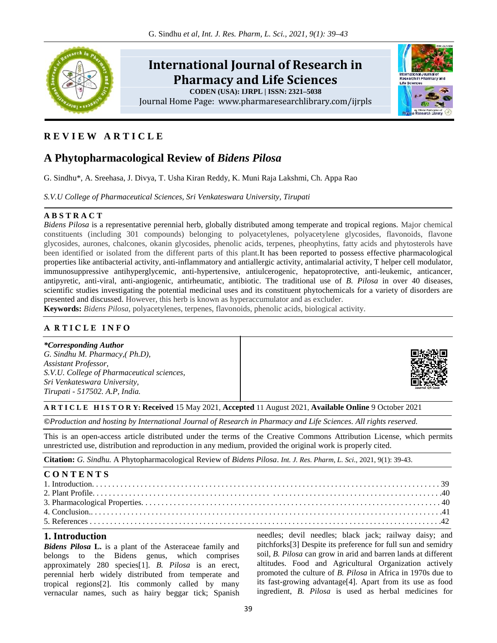

# **R E V I E W A R T I C L E**

# **A Phytopharmacological Review of** *Bidens Pilosa*

G. Sindhu\*, A. Sreehasa, J. Divya, T. Usha Kiran Reddy, K. Muni Raja Lakshmi, Ch. Appa Rao

*S.V.U College of Pharmaceutical Sciences, Sri Venkateswara University, Tirupati*

#### **A B S T R A C T**

*Bidens Pilosa* is a representative perennial herb, globally distributed among temperate and tropical regions. Major chemical constituents (including 301 compounds) belonging to polyacetylenes, polyacetylene glycosides, flavonoids, flavone glycosides, aurones, chalcones, okanin glycosides, phenolic acids, terpenes, pheophytins, fatty acids and phytosterols have been identified or isolated from the different parts of this plant.It has been reported to possess effective pharmacological properties like antibacterial activity, anti-inflammatory and antiallergic activity, antimalarial activity, T helper cell modulator, immunosuppressive antihyperglycemic, anti-hypertensive, antiulcerogenic, hepatoprotective, anti-leukemic, anticancer, antipyretic, anti-viral, anti-angiogenic, antirheumatic, antibiotic. The traditional use of *B. Pilosa* in over 40 diseases, scientific studies investigating the potential medicinal uses and its constituent phytochemicals for a variety of disorders are presented and discussed. However, this herb is known as hyperaccumulator and as excluder.

**Keywords:** *Bidens Pilosa*, polyacetylenes, terpenes, flavonoids, phenolic acids, biological activity.

## **A R T I C L E I N F O**

*\*Corresponding Author G. Sindhu M. Pharmacy,( Ph.D), Assistant Professor, S.V.U. College of Pharmaceutical sciences, Sri Venkateswara University, Tirupati - 517502. A.P, India.*

#### **A R T I C L E H I S T O R Y: Received** 15 May 2021, **Accepted** 11 August 2021, **Available Online** 9 October 2021

*©Production and hosting by International Journal of Research in Pharmacy and Life Sciences. All rights reserved.*

This is an open-access article distributed under the terms of the Creative Commons Attribution License, which permits unrestricted use, distribution and reproduction in any medium, provided the original work is properly cited.

**Citation:** *G. Sindhu.* A Phytopharmacological Review of *Bidens Pilosa*. *Int. J. Res. Pharm, L. Sci.,* 2021, 9(1): 39-43.

| <b>CONTENTS</b> |  |
|-----------------|--|
|                 |  |
|                 |  |
|                 |  |
|                 |  |
|                 |  |

### **1. Introduction**

*Bidens Pilosa* **L.** is a plant of the Asteraceae family and belongs to the Bidens genus, which comprises approximately 280 species[1]. *B. Pilosa* is an erect, perennial herb widely distributed from temperate and tropical regions[2]. Itis commonly called by many vernacular names, such as hairy beggar tick; Spanish needles; devil needles; black jack; railway daisy; and pitchforks[3] Despite its preference for full sun and semidry soil, *B. Pilosa* can grow in arid and barren lands at different altitudes. Food and Agricultural Organization actively promoted the culture of *B. Pilosa* in Africa in 1970s due to its fast-growing advantage[4]. Apart from its use as food ingredient, *B. Pilosa* is used as herbal medicines for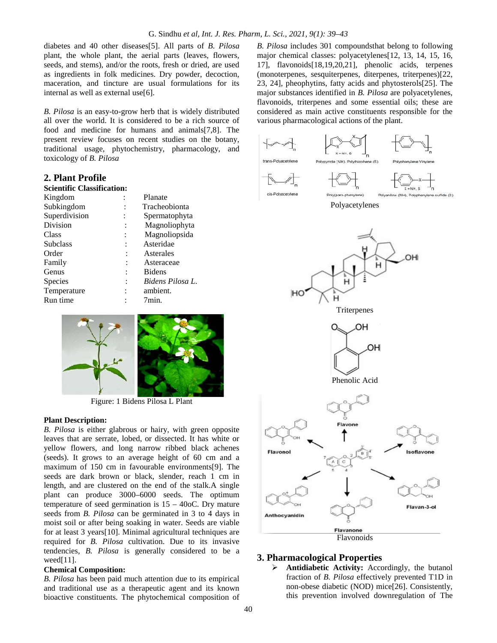diabetes and 40 other diseases[5]. All parts of *B. Pilosa* plant, the whole plant, the aerial parts (leaves, flowers, seeds, and stems), and/or the roots, fresh or dried, are used as ingredients in folk medicines. Dry powder, decoction, maceration, and tincture are usual formulations for its internal as well as external use[6].

*B. Pilosa* is an easy-to-grow herb that is widely distributed all over the world. It is considered to be a rich source of food and medicine for humans and animals[7,8]. The present review focuses on recent studies on the botany, traditional usage, phytochemistry, pharmacology, and toxicology of *B. Pilosa*

#### **2. Plant Profile**

### **Scientific Classification:**

| Kingdom       | Planate          |
|---------------|------------------|
| Subkingdom    | Tracheobionta    |
| Superdivision | Spermatophyta    |
| Division      | Magnoliophyta    |
| Class         | Magnoliopsida    |
| Subclass      | Asteridae        |
| Order         | Asterales        |
| Family        | Asteraceae       |
| Genus         | <b>Bidens</b>    |
| Species       | Bidens Pilosa L. |
| Temperature   | ambient.         |
| Run time      | 7min.            |
|               |                  |



Figure: 1 Bidens Pilosa L Plant

#### **Plant Description:**

*B. Pilosa* is either glabrous or hairy, with green opposite leaves that are serrate, lobed, or dissected. It has white or yellow flowers, and long narrow ribbed black achenes (seeds). It grows to an average height of 60 cm and a maximum of 150 cm in favourable environments[9]. The seeds are dark brown or black, slender, reach 1 cm in length, and are clustered on the end of the stalk.A single plant can produce 3000–6000 seeds. The optimum temperature of seed germination is  $15 - 40$ oC. Dry mature seeds from *B. Pilosa* can be germinated in 3 to 4 days in **Anthocyanidin** moist soil or after being soaking in water. Seeds are viable for at least 3 years[10]. Minimal agricultural techniques are required for *B. Pilosa* cultivation. Due to its invasive tendencies, *B. Pilosa* is generally considered to be a weed[11].

#### **Chemical Composition:**

*B. Pilosa* has been paid much attention due to its empirical and traditional use as a therapeutic agent and its known bioactive constituents. The phytochemical composition of

*B. Pilosa* includes 301 compoundsthat belong to following major chemical classes: polyacetylenes[12, 13, 14, 15, 16, 17], flavonoids[18,19,20,21], phenolic acids, terpenes (monoterpenes, sesquiterpenes, diterpenes, triterpenes)[22, 23, 24], pheophytins, fatty acids and phytosterols[25]. The major substances identified in *B. Pilosa* are polyacetylenes, flavonoids, triterpenes and some essential oils; these are considered as main active constituents responsible for the various pharmacological actions of the plant.





## **3. Pharmacological Properties**

 **Antidiabetic Activity:** Accordingly, the butanol fraction of *B. Pilosa* effectively prevented T1D in non-obese diabetic (NOD) mice[26]. Consistently, this prevention involved downregulation of The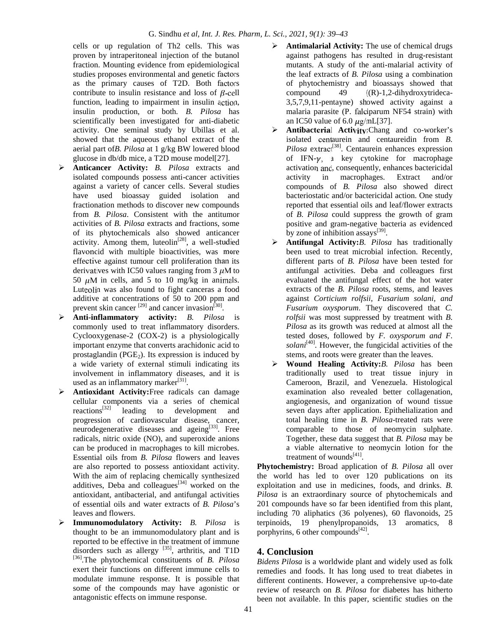cells or up regulation of Th2 cells. This was proven by intraperitoneal injection of the butanol fraction. Mounting evidence from epidemiological studies proposes environmental and genetic factors as the primary causes of T2D. Both factors contribute to insulin resistance and loss of  $\beta$ -cell function, leading to impairment in insulin action, insulin production, or both. *B. Pilosa* has scientifically been investigated for anti-diabetic activity. One seminal study by Ubillas et al. showed that the aqueous ethanol extract of the aerial part of*B. Pilosa* at 1 g/kg BW lowered blood glucose in db/db mice, a T2D mouse model[27].

- **Anticancer Activity:** *B. Pilosa* extracts and isolated compounds possess anti-cancer activities against a variety of cancer cells. Several studies have used bioassay guided isolation and fractionation methods to discover new compounds from *B. Pilosa*. Consistent with the antitumor activities of *B. Pilosa* extracts and fractions, some of its phytochemicals also showed anticancer activity. Among them, luteolin<sup>[28]</sup>, a well-studied flavonoid with multiple bioactivities, was more effective against tumour cell proliferation than its derivatives with IC50 values ranging from 3  $\mu$ M to 50  $\mu$ M in cells, and 5 to 10 mg/kg in animals. Luteolin was also found to fight canceras a food additive at concentrations of 50 to 200 ppm and prevent skin cancer  $^{[29]}$  and cancer invasion<sup>[30]</sup>.
- **Anti-inflammatory activity:** *B. Pilosa* is commonly used to treat inflammatory disorders. Cyclooxygenase-2 (COX-2) is a physiologically important enzyme that converts arachidonic acid to prostaglandin ( $PGE<sub>2</sub>$ ). Its expression is induced by a wide variety of external stimuli indicating its involvement in inflammatory diseases, and it is used as an inflammatory marker $[31]$ .
- **Antioxidant Activity:**Free radicals can damage cellular components via a series of chemical reactions<sup>[32]</sup> leading to development and progression of cardiovascular disease, cancer, neurodegenerative diseases and ageing<sup>[33]</sup>. Free radicals, nitric oxide (NO), and superoxide anions can be produced in macrophages to kill microbes. Essential oils from *B. Pilosa* flowers and leaves are also reported to possess antioxidant activity. With the aim of replacing chemically synthesized additives, Deba and colleagues<sup>[34]</sup> worked on the antioxidant, antibacterial, and antifungal activities of essential oils and water extracts of *B. Pilosa*'s leaves and flowers.
- **Immunomodulatory Activity:** *B. Pilosa* is thought to be an immunomodulatory plant and is reported to be effective in the treatment of immune disorders such as allergy  $^{[35]}$ , arthritis, and T1D [36].The phytochemical constituents of *B. Pilosa* exert their functions on different immune cells to modulate immune response. It is possible that some of the compounds may have agonistic or antagonistic effects on immune response.
- **Antimalarial Activity:** The use of chemical drugs against pathogens has resulted in drug-resistant mutants. A study of the anti-malarial activity of the leaf extracts of *B. Pilosa* using a combination of phytochemistry and bioassays showed that compound 49 ((R)-1,2-dihydroxytrideca- 3,5,7,9,11-pentayne) showed activity against a malaria parasite (P. falciparum NF54 strain) with an IC50 value of 6.0  $\mu$ g/mL[37].
- **Antibacterial Activity:**Chang and co-worker's isolated centaurein and centaureidin from *B. Pilosa* extract<sup>[38]</sup>. Centaurein enhances expression of IFN- $\gamma$ , a key cytokine for macrophage activation and, consequently, enhances bactericidal activity in macrophages. Extract and/or compounds of *B. Pilosa* also showed direct bacteriostatic and/or bactericidal action. One study reported that essential oils and leaf/flower extracts of *B. Pilosa* could suppress the growth of gram positive and gram-negative bacteria as evidenced by zone of inhibition assays<sup>[39]</sup>.
- **Antifungal Activity:***B. Pilosa* has traditionally been used to treat microbial infection. Recently, different parts of *B. Pilosa* have been tested for antifungal activities. Deba and colleagues first evaluated the antifungal effect of the hot water extracts of the *B. Pilosa* roots, stems, and leaves against *Corticium rolfsii, Fusarium solani, and Fusarium oxysporum*. They discovered that *C. rolfsii* was most suppressed by treatment with *B. Pilosa* as its growth was reduced at almost all the tested doses, followed by *F. oxysporum and F. solani*[40]. However, the fungicidal activities of the stems, and roots were greater than the leaves.
- **Wound Healing Activity:***B. Pilosa* has been traditionally used to treat tissue injury in Cameroon, Brazil, and Venezuela. Histological examination also revealed better collagenation, angiogenesis, and organization of wound tissue seven days after application. Epithelialization and total healing time in *B. Pilosa*-treated rats were comparable to those of neomycin sulphate. Together, these data suggest that *B. Pilosa* may be a viable alternative to neomycin lotion for the treatment of wounds<sup>[41]</sup>.

**Phytochemistry:** Broad application of *B. Pilosa* all over the world has led to over 120 publications on its exploitation and use in medicines, foods, and drinks. *B. Pilosa* is an extraordinary source of phytochemicals and 201 compounds have so far been identified from this plant, including 70 aliphatics (36 polyenes), 60 flavonoids, 25 terpinoids, 19 phenylpropanoids, 13 aromatics, 8 porphyrins, 6 other compounds $[42]$ .

# **4. Conclusion**

*Bidens Pilosa* is a worldwide plant and widely used as folk remedies and foods. It has long used to treat diabetes in different continents. However, a comprehensive up-to-date review of research on *B. Pilosa* for diabetes has hitherto been not available. In this paper, scientific studies on the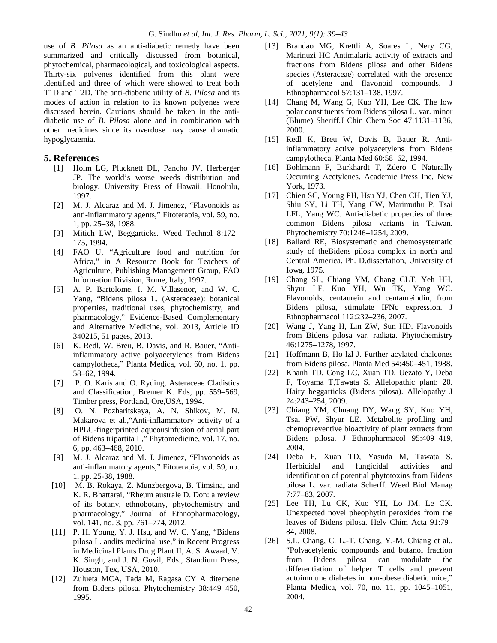use of *B. Pilosa* as an anti-diabetic remedy have been summarized and critically discussed from botanical, phytochemical, pharmacological, and toxicological aspects. Thirty-six polyenes identified from this plant were identified and three of which were showed to treat both T1D and T2D. The anti-diabetic utility of *B. Pilosa* and its modes of action in relation to its known polyenes were discussed herein. Cautions should be taken in the anti diabetic use of *B. Pilosa* alone and in combination with other medicines since its overdose may cause dramatic hypoglycaemia.

#### **5. References**

- [1] Holm LG, Plucknett DL, Pancho JV, Herberger JP. The world's worse weeds distribution and biology. University Press of Hawaii, Honolulu, 1997.
- [2] M. J. Alcaraz and M. J. Jimenez, "Flavonoids as anti-inflammatory agents," Fitoterapia, vol. 59, no. 1, pp. 25–38, 1988.
- [3] Mitich LW, Beggarticks. Weed Technol 8:172– 175, 1994.
- [4] FAO U, "Agriculture food and nutrition for Africa," in A Resource Book for Teachers of Agriculture, Publishing Management Group, FAO Information Division, Rome, Italy, 1997.
- [5] A. P. Bartolome, I. M. Villasenor, and W. C. Yang, "Bidens pilosa L. (Asteraceae): botanical properties, traditional uses, phytochemistry, and pharmacology," Evidence-Based Complementary and Alternative Medicine, vol. 2013, Article ID 340215, 51 pages, 2013.
- [6] K. Redl, W. Breu, B. Davis, and R. Bauer, "Antiinflammatory active polyacetylenes from Bidens campylotheca," Planta Medica, vol. 60, no. 1, pp. 58–62, 1994.
- [7] P. O. Karis and O. Ryding, Asteraceae Cladistics and Classification, Bremer K. Eds, pp. 559–569, Timber press, Portland, Ore,USA, 1994.
- [8] O. N. Pozharitskaya, A. N. Shikov, M. N. Makarova et al.,"Anti-inflammatory activity of a HPLC-fingerprinted aqueousinfusion of aerial part of Bidens tripartita L," Phytomedicine, vol. 17, no. 6, pp. 463–468, 2010.
- [9] M. J. Alcaraz and M. J. Jimenez, "Flavonoids as anti-inflammatory agents," Fitoterapia, vol. 59, no. 1, pp. 25-38, 1988.
- [10] M. B. Rokaya, Z. Munzbergova, B. Timsina, and K. R. Bhattarai, "Rheum australe D. Don: a review of its botany, ethnobotany, phytochemistry and pharmacology," Journal of Ethnopharmacology, vol. 141, no. 3, pp. 761–774, 2012.
- [11] P. H. Young, Y. J. Hsu, and W. C. Yang, "Bidens" pilosa L. andits medicinal use," in Recent Progress in Medicinal Plants Drug Plant II, A. S. Awaad, V. K. Singh, and J. N. Govil, Eds., Standium Press, Houston, Tex, USA, 2010.
- [12] Zulueta MCA, Tada M, Ragasa CY A diterpene from Bidens pilosa. Phytochemistry 38:449–450, 1995.
- [13] Brandao MG, Krettli A, Soares L, Nery CG, Marinuzi HC Antimalaria activity of extracts and fractions from Bidens pilosa and other Bidens species (Asteraceae) correlated with the presence of acetylene and flavonoid compounds. J Ethnopharmacol 57:131–138, 1997.
- [14] Chang M, Wang G, Kuo YH, Lee CK. The low polar constituents from Bidens pilosa L. var. minor (Blume) Sheriff.J Chin Chem Soc 47:1131–1136, 2000.
- [15] Redl K, Breu W, Davis B, Bauer R. Antiinflammatory active polyacetylens from Bidens campylotheca. Planta Med 60:58–62, 1994.
- [16] Bohlmann F, Burkhardt T, Zdero C Naturally Occurring Acetylenes. Academic Press Inc, New York, 1973.
- [17] Chien SC, Young PH, Hsu YJ, Chen CH, Tien YJ, Shiu SY, Li TH, Yang CW, Marimuthu P, Tsai LFL, Yang WC. Anti-diabetic properties of three common Bidens pilosa variants in Taiwan. Phytochemistry 70:1246–1254, 2009.
- [18] Ballard RE, Biosystematic and chemosystematic study of theBidens pilosa complex in north and Central America. Ph. D.dissertation, University of Iowa, 1975.
- [19] Chang SL, Chiang YM, Chang CLT, Yeh HH, Shyur LF, Kuo YH, Wu TK, Yang WC. Flavonoids, centaurein and centaureindin, from Bidens pilosa, stimulate IFNc expression. J Ethnopharmacol 112:232–236, 2007.
- [20] Wang J, Yang H, Lin ZW, Sun HD. Flavonoids from Bidens pilosa var. radiata. Phytochemistry 46:1275–1278, 1997.
- [21] Hoffmann B, Ho¨lzl J. Further acylated chalcones from Bidens pilosa. Planta Med 54:450–451, 1988.
- [22] Khanh TD, Cong LC, Xuan TD, Uezato Y, Deba F, Toyama T,Tawata S. Allelopathic plant: 20. Hairy beggarticks (Bidens pilosa). Allelopathy J 24:243–254, 2009.
- [23] Chiang YM, Chuang DY, Wang SY, Kuo YH, Tsai PW, Shyur LE. Metabolite profiling and chemopreventive bioactivity of plant extracts from Bidens pilosa. J Ethnopharmacol 95:409–419, 2004.
- [24] Deba F, Xuan TD, Yasuda M, Tawata S. Herbicidal and fungicidal activities and identification of potential phytotoxins from Bidens pilosa L. var. radiata Scherff. Weed Biol Manag 7:77–83, 2007.
- [25] Lee TH, Lu CK, Kuo YH, Lo JM, Le CK. Unexpected novel pheophytin peroxides from the leaves of Bidens pilosa. Helv Chim Acta 91:79– 84, 2008.
- [26] S.L. Chang, C. L.-T. Chang, Y.-M. Chiang et al., "Polyacetylenic compounds and butanol fraction from Bidens pilosa can modulate the differentiation of helper T cells and prevent autoimmune diabetes in non-obese diabetic mice," Planta Medica, vol. 70, no. 11, pp. 1045–1051, 2004.